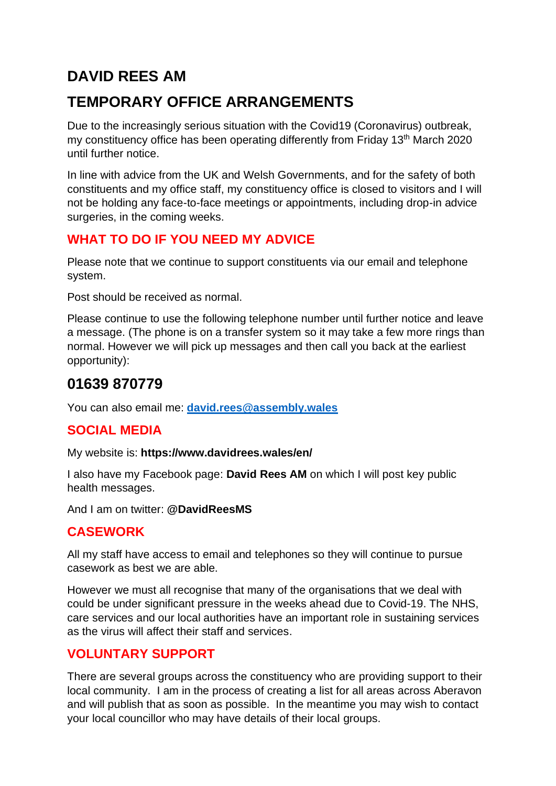# **DAVID REES AM**

# **TEMPORARY OFFICE ARRANGEMENTS**

Due to the increasingly serious situation with the Covid19 (Coronavirus) outbreak, my constituency office has been operating differently from Friday 13th March 2020 until further notice.

In line with advice from the UK and Welsh Governments, and for the safety of both constituents and my office staff, my constituency office is closed to visitors and I will not be holding any face-to-face meetings or appointments, including drop-in advice surgeries, in the coming weeks.

## **WHAT TO DO IF YOU NEED MY ADVICE**

Please note that we continue to support constituents via our email and telephone system.

Post should be received as normal.

Please continue to use the following telephone number until further notice and leave a message. (The phone is on a transfer system so it may take a few more rings than normal. However we will pick up messages and then call you back at the earliest opportunity):

# **01639 870779**

You can also email me: **[david.rees@assembly.wales](mailto:david.rees@assembly.wales)**

## **SOCIAL MEDIA**

My website is: **https://www.davidrees.wales/en/**

I also have my Facebook page: **David Rees AM** on which I will post key public health messages.

And I am on twitter: **@DavidReesMS**

#### **CASEWORK**

All my staff have access to email and telephones so they will continue to pursue casework as best we are able.

However we must all recognise that many of the organisations that we deal with could be under significant pressure in the weeks ahead due to Covid-19. The NHS, care services and our local authorities have an important role in sustaining services as the virus will affect their staff and services.

#### **VOLUNTARY SUPPORT**

There are several groups across the constituency who are providing support to their local community. I am in the process of creating a list for all areas across Aberavon and will publish that as soon as possible. In the meantime you may wish to contact your local councillor who may have details of their local groups.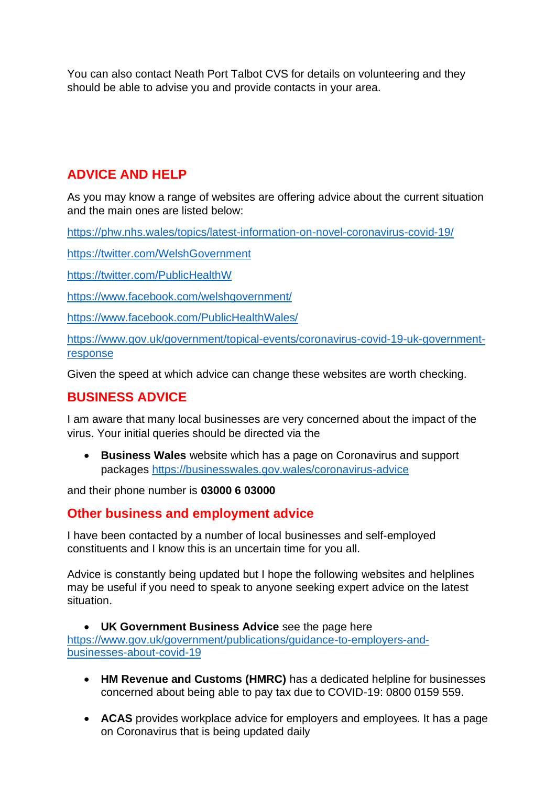You can also contact Neath Port Talbot CVS for details on volunteering and they should be able to advise you and provide contacts in your area.

### **ADVICE AND HELP**

As you may know a range of websites are offering advice about the current situation and the main ones are listed below:

<https://phw.nhs.wales/topics/latest-information-on-novel-coronavirus-covid-19/>

<https://twitter.com/WelshGovernment>

<https://twitter.com/PublicHealthW>

<https://www.facebook.com/welshgovernment/>

<https://www.facebook.com/PublicHealthWales/>

[https://www.gov.uk/government/topical-events/coronavirus-covid-19-uk-government](https://www.gov.uk/government/topical-events/coronavirus-covid-19-uk-government-response)[response](https://www.gov.uk/government/topical-events/coronavirus-covid-19-uk-government-response)

Given the speed at which advice can change these websites are worth checking.

#### **BUSINESS ADVICE**

I am aware that many local businesses are very concerned about the impact of the virus. Your initial queries should be directed via the

• **Business Wales** website which has a page on Coronavirus and support packages<https://businesswales.gov.wales/coronavirus-advice>

and their phone number is **03000 6 03000**

#### **Other business and employment advice**

I have been contacted by a number of local businesses and self-employed constituents and I know this is an uncertain time for you all.

Advice is constantly being updated but I hope the following websites and helplines may be useful if you need to speak to anyone seeking expert advice on the latest situation.

• **UK Government Business Advice** see the page here [https://www.gov.uk/government/publications/guidance-to-employers-and](https://www.gov.uk/government/publications/guidance-to-employers-and-businesses-about-covid-19)[businesses-about-covid-19](https://www.gov.uk/government/publications/guidance-to-employers-and-businesses-about-covid-19)

- **HM Revenue and Customs (HMRC)** has a dedicated helpline for businesses concerned about being able to pay tax due to COVID-19: 0800 0159 559.
- **ACAS** provides workplace advice for employers and employees. It has a page on Coronavirus that is being updated daily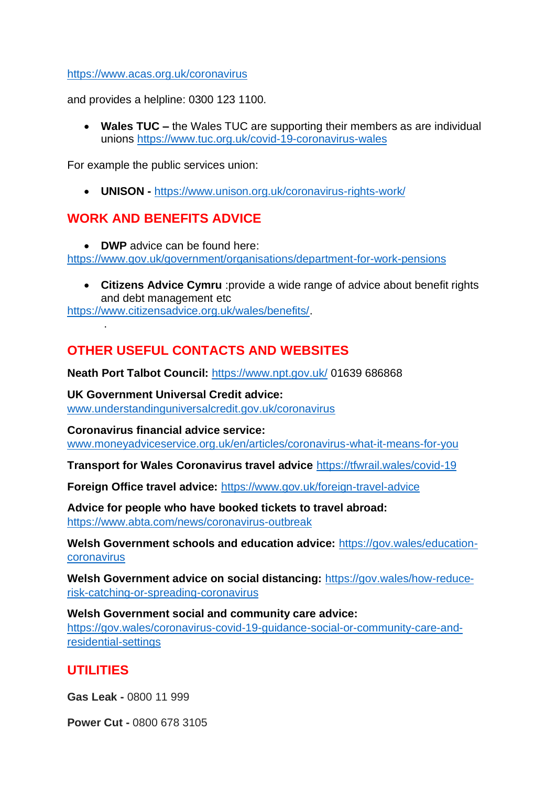#### <https://www.acas.org.uk/coronavirus>

and provides a helpline: 0300 123 1100.

• **Wales TUC –** the Wales TUC are supporting their members as are individual unions<https://www.tuc.org.uk/covid-19-coronavirus-wales>

For example the public services union:

• **UNISON -** <https://www.unison.org.uk/coronavirus-rights-work/>

#### **WORK AND BENEFITS ADVICE**

• **DWP** advice can be found here: <https://www.gov.uk/government/organisations/department-for-work-pensions>

• **Citizens Advice Cymru** :provide a wide range of advice about benefit rights and debt management etc

[https://www.citizensadvice.org.uk/wales/benefits/.](https://www.citizensadvice.org.uk/wales/benefits/)

## **OTHER USEFUL CONTACTS AND WEBSITES**

**Neath Port Talbot Council:** <https://www.npt.gov.uk/> 01639 686868

**UK Government Universal Credit advice:**  [www.understandinguniversalcredit.gov.uk/coronavirus](http://www.understandinguniversalcredit.gov.uk/coronavirus)

**Coronavirus financial advice service:**  [www.moneyadviceservice.org.uk/en/articles/coronavirus-what-it-means-for-you](http://www.moneyadviceservice.org.uk/en/articles/coronavirus-what-it-means-for-you)

**Transport for Wales Coronavirus travel advice** <https://tfwrail.wales/covid-19>

**Foreign Office travel advice:** <https://www.gov.uk/foreign-travel-advice>

**Advice for people who have booked tickets to travel abroad:**  <https://www.abta.com/news/coronavirus-outbreak>

**Welsh Government schools and education advice:** [https://gov.wales/education](https://gov.wales/education-coronavirus)[coronavirus](https://gov.wales/education-coronavirus)

**Welsh Government advice on social distancing:** [https://gov.wales/how-reduce](https://gov.wales/how-reduce-risk-catching-or-spreading-coronavirus)[risk-catching-or-spreading-coronavirus](https://gov.wales/how-reduce-risk-catching-or-spreading-coronavirus)

**Welsh Government social and community care advice:**  [https://gov.wales/coronavirus-covid-19-guidance-social-or-community-care-and](https://gov.wales/coronavirus-covid-19-guidance-social-or-community-care-and-residential-settings)[residential-settings](https://gov.wales/coronavirus-covid-19-guidance-social-or-community-care-and-residential-settings)

#### **UTILITIES**

.

**Gas Leak -** 0800 11 999

**Power Cut -** 0800 678 3105